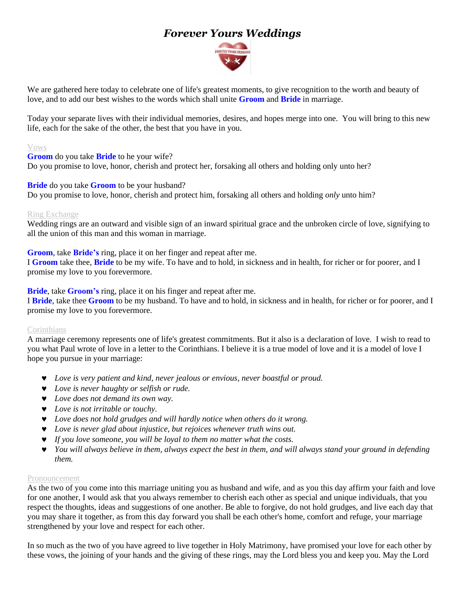# *Forever Yours Weddings*



We are gathered here today to celebrate one of life's greatest moments, to give recognition to the worth and beauty of love, and to add our best wishes to the words which shall unite **Groom** and **Bride** in marriage.

Today your separate lives with their individual memories, desires, and hopes merge into one. You will bring to this new life, each for the sake of the other, the best that you have in you.

#### Vows

**Groom** do you take **Bride** to he your wife? Do you promise to love, honor, cherish and protect her, forsaking all others and holding only unto her?

#### **Bride** do you take **Groom** to be your husband?

Do you promise to love, honor*,* cherish and protect him, forsaking all others and holding *only* unto him?

#### Ring Exchange

Wedding rings are an outward and visible sign of an inward spiritual grace and the unbroken circle of love, signifying to all the union of this man and this woman in marriage.

**Groom**, take **Bride's** ring, place it on her finger and repeat after me.

I **Groom** take thee, **Bride** to be my wife. To have and to hold, in sickness and in health, for richer or for poorer, and I promise my love to you forevermore.

**Bride**, take **Groom's** ring, place it on his finger and repeat after me.

I **Bride**, take thee **Groom** to be my husband. To have and to hold, in sickness and in health, for richer or for poorer, and I promise my love to you forevermore.

### **Corinthians**

A marriage ceremony represents one of life's greatest commitments. But it also is a declaration of love. I wish to read to you what Paul wrote of love in a letter to the Corinthians. I believe it is a true model of love and it is a model of love I hope you pursue in your marriage:

- *Love is very patient and kind, never jealous or envious, never boastful or proud.*
- *Love is never haughty or selfish or rude.*
- *Love does not demand its own way.*
- *Love is not irritable or touchy.*
- *Love does not hold grudges and will hardly notice when others do it wrong.*
- *Love is never glad about injustice, but rejoices whenever truth wins out.*
- *If you love someone, you will be loyal to them no matter what the costs.*
- *You will always believe in them, always expect the best in them, and will always stand your ground in defending them.*

#### Pronouncement

As the two of you come into this marriage uniting you as husband and wife, and as you this day affirm your faith and love for one another, I would ask that you always remember to cherish each other as special and unique individuals, that you respect the thoughts, ideas and suggestions of one another. Be able to forgive, do not hold grudges, and live each day that you may share it together, as from this day forward you shall be each other's home, comfort and refuge, your marriage strengthened by your love and respect for each other.

In so much as the two of you have agreed to live together in Holy Matrimony, have promised your love for each other by these vows, the joining of your hands and the giving of these rings, may the Lord bless you and keep you. May the Lord